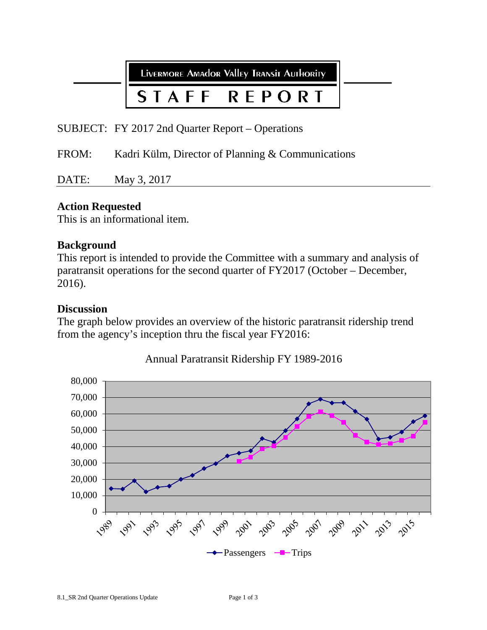LIVERMORE AMAdOR VAllEy TRANSIT AUTHORITY

#### STAFF REPORT

SUBJECT: FY 2017 2nd Quarter Report – Operations

FROM: Kadri Külm, Director of Planning & Communications

DATE: May 3, 2017

# **Action Requested**

This is an informational item.

### **Background**

This report is intended to provide the Committee with a summary and analysis of paratransit operations for the second quarter of FY2017 (October – December, 2016).

### **Discussion**

The graph below provides an overview of the historic paratransit ridership trend from the agency's inception thru the fiscal year FY2016:



Annual Paratransit Ridership FY 1989-2016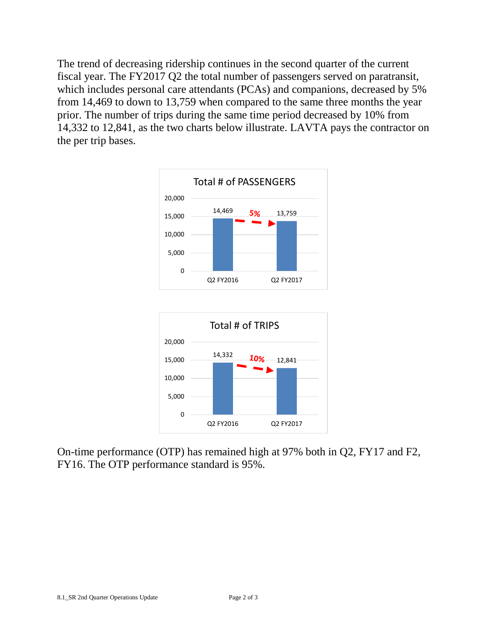The trend of decreasing ridership continues in the second quarter of the current fiscal year. The FY2017 Q2 the total number of passengers served on paratransit, which includes personal care attendants (PCAs) and companions, decreased by 5% from 14,469 to down to 13,759 when compared to the same three months the year prior. The number of trips during the same time period decreased by 10% from 14,332 to 12,841, as the two charts below illustrate. LAVTA pays the contractor on the per trip bases.





On-time performance (OTP) has remained high at 97% both in Q2, FY17 and F2, FY16. The OTP performance standard is 95%.